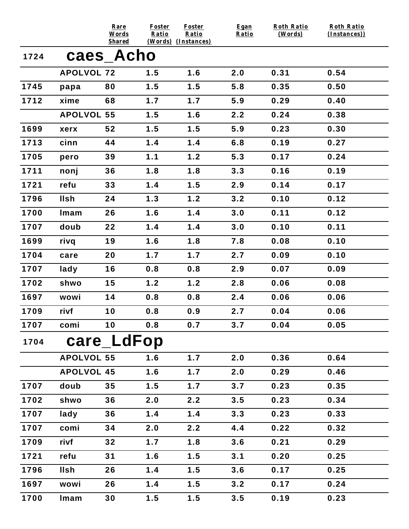|      |                   | Rare<br>Words<br><b>Shared</b> | <b>Foster</b><br>Ratio | <b>Foster</b><br>Ratio<br>(Words) (Instances) | Egan<br>Ratio | <b>Roth Ratio</b><br>(Words) | <b>Roth Ratio</b><br>(Instances)) |
|------|-------------------|--------------------------------|------------------------|-----------------------------------------------|---------------|------------------------------|-----------------------------------|
| 1724 |                   | caes_Acho                      |                        |                                               |               |                              |                                   |
|      | <b>APOLVOL 72</b> |                                | 1.5                    | 1.6                                           | 2.0           | 0.31                         | 0.54                              |
| 1745 | papa              | 80                             | 1.5                    | 1.5                                           | 5.8           | 0.35                         | 0.50                              |
| 1712 | xime              | 68                             | 1.7                    | 1.7                                           | 5.9           | 0.29                         | 0.40                              |
|      | <b>APOLVOL 55</b> |                                | 1.5                    | 1.6                                           | 2.2           | 0.24                         | 0.38                              |
| 1699 | xerx              | 52                             | 1.5                    | 1.5                                           | 5.9           | 0.23                         | 0.30                              |
| 1713 | cinn              | 44                             | 1.4                    | 1.4                                           | 6.8           | 0.19                         | 0.27                              |
| 1705 | pero              | 39                             | 1.1                    | 1.2                                           | 5.3           | 0.17                         | 0.24                              |
| 1711 | nonj              | 36                             | 1.8                    | 1.8                                           | 3.3           | 0.16                         | 0.19                              |
| 1721 | refu              | 33                             | 1.4                    | 1.5                                           | 2.9           | 0.14                         | 0.17                              |
| 1796 | <b>Ilsh</b>       | 24                             | 1.3                    | 1.2                                           | 3.2           | 0.10                         | 0.12                              |
| 1700 | Imam              | 26                             | 1.6                    | 1.4                                           | 3.0           | 0.11                         | 0.12                              |
| 1707 | doub              | 22                             | 1.4                    | 1.4                                           | 3.0           | 0.10                         | 0.11                              |
| 1699 | rivq              | 19                             | 1.6                    | 1.8                                           | 7.8           | 0.08                         | 0.10                              |
| 1704 | care              | 20                             | 1.7                    | 1.7                                           | 2.7           | 0.09                         | 0.10                              |
| 1707 | lady              | 16                             | 0.8                    | 0.8                                           | 2.9           | 0.07                         | 0.09                              |
| 1702 | shwo              | 15                             | 1.2                    | 1.2                                           | 2.8           | 0.06                         | 0.08                              |
| 1697 | wowi              | 14                             | 0.8                    | 0.8                                           | 2.4           | 0.06                         | 0.06                              |
| 1709 | rivf              | 10                             | 0.8                    | 0.9                                           | 2.7           | 0.04                         | 0.06                              |
| 1707 | comi              | 10                             | 0.8                    | 0.7                                           | 3.7           | 0.04                         | 0.05                              |
| 1704 |                   | care_LdFop                     |                        |                                               |               |                              |                                   |
|      | <b>APOLVOL 55</b> |                                | 1.6                    | 1.7                                           | 2.0           | 0.36                         | 0.64                              |
|      | <b>APOLVOL 45</b> |                                | 1.6                    | 1.7                                           | 2.0           | 0.29                         | 0.46                              |
| 1707 | doub              | 35                             | 1.5                    | 1.7                                           | 3.7           | 0.23                         | 0.35                              |
| 1702 | shwo              | 36                             | 2.0                    | 2.2                                           | 3.5           | 0.23                         | 0.34                              |
| 1707 | lady              | 36                             | 1.4                    | 1.4                                           | 3.3           | 0.23                         | 0.33                              |
| 1707 | comi              | 34                             | 2.0                    | 2.2                                           | 4.4           | 0.22                         | 0.32                              |
| 1709 | rivf              | 32                             | 1.7                    | 1.8                                           | 3.6           | 0.21                         | 0.29                              |
| 1721 | refu              | 31                             | 1.6                    | 1.5                                           | 3.1           | 0.20                         | 0.25                              |
| 1796 | <b>Ilsh</b>       | 26                             | 1.4                    | 1.5                                           | 3.6           | 0.17                         | 0.25                              |
| 1697 | wowi              | 26                             | 1.4                    | 1.5                                           | 3.2           | 0.17                         | 0.24                              |
| 1700 | Imam              | 30                             | 1.5                    | 1.5                                           | 3.5           | 0.19                         | 0.23                              |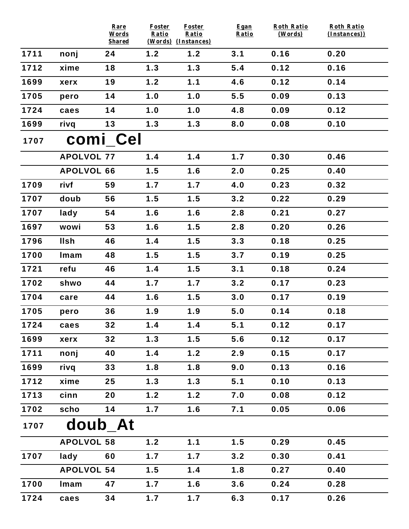|      |                   | Rare<br>Words | <b>Foster</b><br>Ratio | <b>Foster</b><br>Ratio | Egan<br>Ratio | <b>Roth Ratio</b><br>(Words) | <b>Roth Ratio</b><br>(Instances)) |
|------|-------------------|---------------|------------------------|------------------------|---------------|------------------------------|-----------------------------------|
|      |                   | <b>Shared</b> |                        | (Words) (Instances)    |               |                              |                                   |
| 1711 | nonj              | 24            | 1.2                    | 1.2                    | 3.1           | 0.16                         | 0.20                              |
| 1712 | xime              | 18            | 1.3                    | 1.3                    | 5.4           | 0.12                         | 0.16                              |
| 1699 | xerx              | 19            | 1.2                    | 1.1                    | 4.6           | 0.12                         | 0.14                              |
| 1705 | pero              | 14            | 1.0                    | 1.0                    | 5.5           | 0.09                         | 0.13                              |
| 1724 | caes              | 14            | 1.0                    | 1.0                    | 4.8           | 0.09                         | 0.12                              |
| 1699 | rivq              | 13            | 1.3                    | 1.3                    | 8.0           | 0.08                         | 0.10                              |
| 1707 |                   | comi_Cel      |                        |                        |               |                              |                                   |
|      | <b>APOLVOL 77</b> |               | 1.4                    | 1.4                    | 1.7           | 0.30                         | 0.46                              |
|      | <b>APOLVOL 66</b> |               | 1.5                    | 1.6                    | 2.0           | 0.25                         | 0.40                              |
| 1709 | rivf              | 59            | 1.7                    | 1.7                    | 4.0           | 0.23                         | 0.32                              |
| 1707 | doub              | 56            | 1.5                    | 1.5                    | 3.2           | 0.22                         | 0.29                              |
| 1707 | lady              | 54            | 1.6                    | 1.6                    | 2.8           | 0.21                         | 0.27                              |
| 1697 | wowi              | 53            | 1.6                    | 1.5                    | 2.8           | 0.20                         | 0.26                              |
| 1796 | <b>Ilsh</b>       | 46            | 1.4                    | 1.5                    | 3.3           | 0.18                         | 0.25                              |
| 1700 | Imam              | 48            | 1.5                    | 1.5                    | 3.7           | 0.19                         | 0.25                              |
| 1721 | refu              | 46            | 1.4                    | 1.5                    | 3.1           | 0.18                         | 0.24                              |
| 1702 | shwo              | 44            | 1.7                    | 1.7                    | 3.2           | 0.17                         | 0.23                              |
| 1704 | care              | 44            | 1.6                    | 1.5                    | 3.0           | 0.17                         | 0.19                              |
| 1705 | pero              | 36            | 1.9                    | 1.9                    | 5.0           | 0.14                         | 0.18                              |
| 1724 | caes              | 32            | 1.4                    | 1.4                    | 5.1           | 0.12                         | 0.17                              |
| 1699 | xerx              | 32            | 1.3                    | 1.5                    | 5.6           | 0.12                         | 0.17                              |
| 1711 | nonj              | 40            | 1.4                    | 1.2                    | 2.9           | 0.15                         | 0.17                              |
| 1699 | rivq              | 33            | 1.8                    | 1.8                    | 9.0           | 0.13                         | 0.16                              |
| 1712 | xime              | 25            | 1.3                    | 1.3                    | 5.1           | 0.10                         | 0.13                              |
| 1713 | cinn              | 20            | 1.2                    | 1.2                    | 7.0           | 0.08                         | 0.12                              |
| 1702 | scho              | 14            | 1.7                    | 1.6                    | 7.1           | 0.05                         | 0.06                              |
| 1707 | doub_At           |               |                        |                        |               |                              |                                   |
|      | <b>APOLVOL 58</b> |               | 1.2                    | 1.1                    | 1.5           | 0.29                         | 0.45                              |
| 1707 | lady              | 60            | 1.7                    | 1.7                    | 3.2           | 0.30                         | 0.41                              |
|      | <b>APOLVOL 54</b> |               | 1.5                    | 1.4                    | 1.8           | 0.27                         | 0.40                              |
| 1700 | Imam              | 47            | 1.7                    | 1.6                    | 3.6           | 0.24                         | 0.28                              |
| 1724 | caes              | 34            | 1.7                    | 1.7                    | 6.3           | 0.17                         | 0.26                              |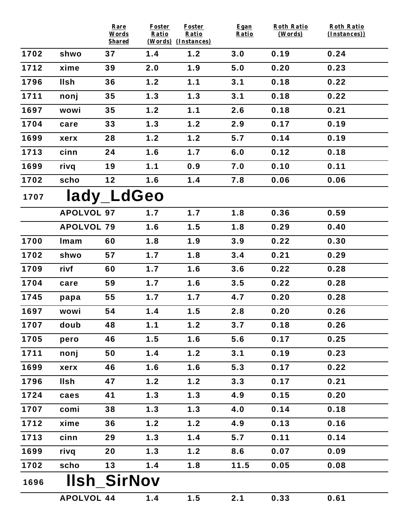|      |                   | Rare<br>Words      | Foster<br>Ratio     | <b>Foster</b><br>Ratio | Egan<br>Ratio | <b>Roth Ratio</b><br>(Words) | <b>Roth Ratio</b><br>(Instances)) |
|------|-------------------|--------------------|---------------------|------------------------|---------------|------------------------------|-----------------------------------|
|      |                   | <b>Shared</b>      | (Words) (Instances) |                        |               |                              |                                   |
| 1702 | shwo              | 37                 | 1.4                 | 1.2                    | 3.0           | 0.19                         | 0.24                              |
| 1712 | xime              | 39                 | 2.0                 | 1.9                    | 5.0           | 0.20                         | 0.23                              |
| 1796 | <b>IIsh</b>       | 36                 | 1.2                 | 1.1                    | 3.1           | 0.18                         | 0.22                              |
| 1711 | nonj              | 35                 | 1.3                 | 1.3                    | 3.1           | 0.18                         | 0.22                              |
| 1697 | wowi              | 35                 | 1.2                 | 1.1                    | 2.6           | 0.18                         | 0.21                              |
| 1704 | care              | 33                 | 1.3                 | 1.2                    | 2.9           | 0.17                         | 0.19                              |
| 1699 | xerx              | 28                 | 1.2                 | 1.2                    | 5.7           | 0.14                         | 0.19                              |
| 1713 | cinn              | 24                 | 1.6                 | 1.7                    | 6.0           | 0.12                         | 0.18                              |
| 1699 | rivq              | 19                 | 1.1                 | 0.9                    | 7.0           | 0.10                         | 0.11                              |
| 1702 | scho              | 12                 | 1.6                 | 1.4                    | 7.8           | 0.06                         | 0.06                              |
| 1707 |                   | lady_LdGeo         |                     |                        |               |                              |                                   |
|      | <b>APOLVOL 97</b> |                    | 1.7                 | 1.7                    | 1.8           | 0.36                         | 0.59                              |
|      | <b>APOLVOL 79</b> |                    | 1.6                 | 1.5                    | 1.8           | 0.29                         | 0.40                              |
| 1700 | Imam              | 60                 | 1.8                 | 1.9                    | 3.9           | 0.22                         | 0.30                              |
| 1702 | shwo              | 57                 | 1.7                 | 1.8                    | 3.4           | 0.21                         | 0.29                              |
| 1709 | rivf              | 60                 | 1.7                 | 1.6                    | 3.6           | 0.22                         | 0.28                              |
| 1704 | care              | 59                 | 1.7                 | 1.6                    | 3.5           | 0.22                         | 0.28                              |
| 1745 | papa              | 55                 | 1.7                 | 1.7                    | 4.7           | 0.20                         | 0.28                              |
| 1697 | wowi              | 54                 | 1.4                 | 1.5                    | 2.8           | 0.20                         | 0.26                              |
| 1707 | doub              | 48                 | 1.1                 | 1.2                    | 3.7           | 0.18                         | 0.26                              |
| 1705 | pero              | 46                 | 1.5                 | 1.6                    | 5.6           | 0.17                         | 0.25                              |
| 1711 | nonj              | 50                 | 1.4                 | 1.2                    | 3.1           | 0.19                         | 0.23                              |
| 1699 | xerx              | 46                 | 1.6                 | 1.6                    | 5.3           | 0.17                         | 0.22                              |
| 1796 | <b>IIsh</b>       | 47                 | 1.2                 | 1.2                    | 3.3           | 0.17                         | 0.21                              |
| 1724 | caes              | 41                 | 1.3                 | 1.3                    | 4.9           | 0.15                         | 0.20                              |
| 1707 | comi              | 38                 | 1.3                 | 1.3                    | 4.0           | 0.14                         | 0.18                              |
| 1712 | xime              | 36                 | 1.2                 | 1.2                    | 4.9           | 0.13                         | 0.16                              |
| 1713 | cinn              | 29                 | 1.3                 | 1.4                    | 5.7           | 0.11                         | 0.14                              |
| 1699 | rivq              | 20                 | 1.3                 | 1.2                    | 8.6           | 0.07                         | 0.09                              |
| 1702 | scho              | 13                 | 1.4                 | 1.8                    | 11.5          | 0.05                         | 0.08                              |
| 1696 |                   | <b>IIsh SirNov</b> |                     |                        |               |                              |                                   |
|      | <b>APOLVOL 44</b> |                    | 1.4                 | 1.5                    | 2.1           | 0.33                         | 0.61                              |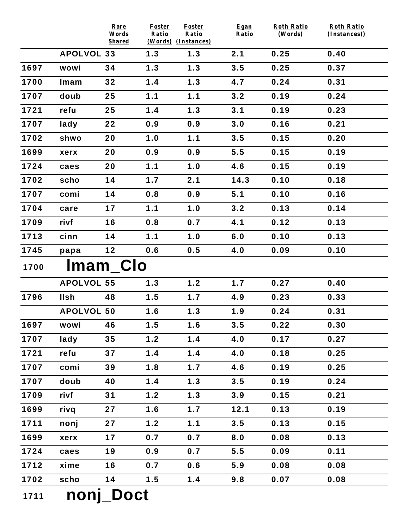|      |                   | Rare<br>Words | <b>Foster</b><br>Ratio | <b>Foster</b><br>Ratio | Egan<br>Ratio | <b>Roth Ratio</b><br>(Words) | <b>Roth Ratio</b><br>(Instances)) |
|------|-------------------|---------------|------------------------|------------------------|---------------|------------------------------|-----------------------------------|
|      |                   | <b>Shared</b> |                        | (Words) (Instances)    |               |                              |                                   |
|      | <b>APOLVOL 33</b> |               | 1.3                    | 1.3                    | 2.1           | 0.25                         | 0.40                              |
| 1697 | wowi              | 34            | 1.3                    | 1.3                    | 3.5           | 0.25                         | 0.37                              |
| 1700 | Imam              | 32            | 1.4                    | 1.3                    | 4.7           | 0.24                         | 0.31                              |
| 1707 | doub              | 25            | 1.1                    | 1.1                    | 3.2           | 0.19                         | 0.24                              |
| 1721 | refu              | 25            | 1.4                    | 1.3                    | 3.1           | 0.19                         | 0.23                              |
| 1707 | lady              | 22            | 0.9                    | 0.9                    | 3.0           | 0.16                         | 0.21                              |
| 1702 | shwo              | 20            | 1.0                    | 1.1                    | 3.5           | 0.15                         | 0.20                              |
| 1699 | xerx              | 20            | 0.9                    | 0.9                    | 5.5           | 0.15                         | 0.19                              |
| 1724 | caes              | 20            | 1.1                    | 1.0                    | 4.6           | 0.15                         | 0.19                              |
| 1702 | scho              | 14            | 1.7                    | 2.1                    | 14.3          | 0.10                         | 0.18                              |
| 1707 | comi              | 14            | 0.8                    | 0.9                    | 5.1           | 0.10                         | 0.16                              |
| 1704 | care              | 17            | 1.1                    | 1.0                    | 3.2           | 0.13                         | 0.14                              |
| 1709 | rivf              | 16            | 0.8                    | 0.7                    | 4.1           | 0.12                         | 0.13                              |
| 1713 | cinn              | 14            | 1.1                    | 1.0                    | 6.0           | 0.10                         | 0.13                              |
| 1745 | papa              | $12$          | 0.6                    | 0.5                    | 4.0           | 0.09                         | 0.10                              |
| 1700 | Imam Clo          |               |                        |                        |               |                              |                                   |
|      | <b>APOLVOL 55</b> |               | 1.3                    | 1.2                    | 1.7           | 0.27                         | 0.40                              |
| 1796 | <b>Ilsh</b>       | 48            | 1.5                    | 1.7                    | 4.9           | 0.23                         | 0.33                              |
|      | <b>APOLVOL 50</b> |               | 1.6                    | 1.3                    | 1.9           | 0.24                         | 0.31                              |
| 1697 | wowi              | 46            | 1.5                    | 1.6                    | 3.5           | 0.22                         | 0.30                              |
| 1707 | lady              | 35            | 1.2                    | 1.4                    | 4.0           | 0.17                         | 0.27                              |
| 1721 | refu              | 37            | 1.4                    | 1.4                    | 4.0           | 0.18                         | 0.25                              |
| 1707 | comi              | 39            | 1.8                    | 1.7                    | 4.6           | 0.19                         | 0.25                              |
| 1707 | doub              | 40            | 1.4                    | 1.3                    | 3.5           | 0.19                         | 0.24                              |
| 1709 | rivf              | 31            | $1.2$                  | 1.3                    | 3.9           | 0.15                         | 0.21                              |
| 1699 | rivq              | 27            | 1.6                    | 1.7                    | 12.1          | 0.13                         | 0.19                              |
| 1711 | nonj              | 27            | 1.2                    | 1.1                    | 3.5           | 0.13                         | 0.15                              |
| 1699 | xerx              | 17            | 0.7                    | 0.7                    | 8.0           | 0.08                         | 0.13                              |
| 1724 | caes              | 19            | 0.9                    | 0.7                    | 5.5           | 0.09                         | 0.11                              |
| 1712 | xime              | 16            | 0.7                    | 0.6                    | 5.9           | 0.08                         | 0.08                              |
| 1702 | scho              | 14            | 1.5                    | 1.4                    | 9.8           | 0.07                         | 0.08                              |
| 1711 | nonj_Doct         |               |                        |                        |               |                              |                                   |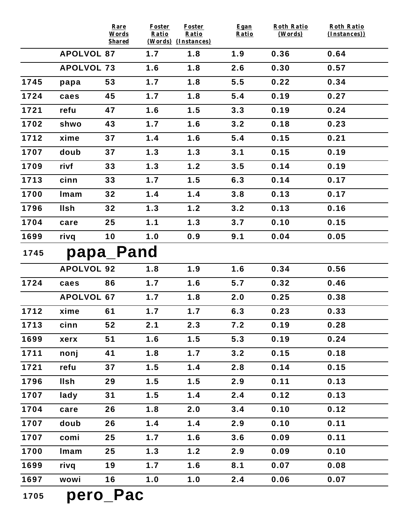|      |                   | Rare<br>Words | <b>Foster</b><br>Ratio | Foster<br>Ratio            | Egan<br>Ratio | <b>Roth Ratio</b><br>(Words) | <b>Roth Ratio</b><br>(Instances)) |
|------|-------------------|---------------|------------------------|----------------------------|---------------|------------------------------|-----------------------------------|
|      | <b>APOLVOL 87</b> | <b>Shared</b> | 1.7                    | (Words) (Instances)<br>1.8 | 1.9           | 0.36                         | 0.64                              |
|      | <b>APOLVOL 73</b> |               | 1.6                    | 1.8                        | 2.6           | 0.30                         | 0.57                              |
| 1745 |                   |               | 1.7                    | 1.8                        | 5.5           | 0.22                         | 0.34                              |
|      | papa              | 53            |                        |                            |               |                              |                                   |
| 1724 | caes              | 45            | 1.7                    | 1.8                        | 5.4           | 0.19                         | 0.27                              |
| 1721 | refu              | 47            | 1.6                    | 1.5                        | 3.3           | 0.19                         | 0.24                              |
| 1702 | shwo              | 43            | 1.7                    | 1.6                        | 3.2           | 0.18                         | 0.23                              |
| 1712 | xime              | 37            | 1.4                    | 1.6                        | 5.4           | 0.15                         | 0.21                              |
| 1707 | doub              | 37            | 1.3                    | 1.3                        | 3.1           | 0.15                         | 0.19                              |
| 1709 | rivf              | 33            | 1.3                    | 1.2                        | 3.5           | 0.14                         | 0.19                              |
| 1713 | cinn              | 33            | 1.7                    | 1.5                        | 6.3           | 0.14                         | 0.17                              |
| 1700 | Imam              | 32            | 1.4                    | 1.4                        | 3.8           | 0.13                         | 0.17                              |
| 1796 | <b>Ilsh</b>       | 32            | 1.3                    | 1.2                        | 3.2           | 0.13                         | 0.16                              |
| 1704 | care              | 25            | 1.1                    | 1.3                        | 3.7           | 0.10                         | 0.15                              |
| 1699 | rivq              | 10            | 1.0                    | 0.9                        | 9.1           | 0.04                         | 0.05                              |
| 1745 |                   | papa_Pand     |                        |                            |               |                              |                                   |
|      | <b>APOLVOL 92</b> |               | 1.8                    | 1.9                        | 1.6           | 0.34                         | 0.56                              |
| 1724 | caes              | 86            | 1.7                    | 1.6                        | 5.7           | 0.32                         | 0.46                              |
|      | <b>APOLVOL 67</b> |               | 1.7                    | 1.8                        | 2.0           | 0.25                         | 0.38                              |
| 1712 | xime              | 61            | 1.7                    | 1.7                        | 6.3           | 0.23                         | 0.33                              |
| 1713 | cinn              | 52            | 2.1                    | 2.3                        | 7.2           | 0.19                         | 0.28                              |
| 1699 | xerx              | 51            | 1.6                    | 1.5                        | 5.3           | 0.19                         | 0.24                              |
| 1711 | nonj              | 41            | 1.8                    | 1.7                        | 3.2           | 0.15                         | 0.18                              |
| 1721 | refu              | 37            | 1.5                    | 1.4                        | 2.8           | 0.14                         | 0.15                              |
| 1796 | <b>Ilsh</b>       | 29            | 1.5                    | 1.5                        | 2.9           | 0.11                         | 0.13                              |
| 1707 | lady              | 31            | 1.5                    | 1.4                        | 2.4           | 0.12                         | 0.13                              |
| 1704 | care              | 26            | 1.8                    | 2.0                        | 3.4           | 0.10                         | 0.12                              |
| 1707 | doub              | 26            | 1.4                    | 1.4                        | 2.9           | 0.10                         | 0.11                              |
| 1707 | comi              | 25            | 1.7                    | 1.6                        | 3.6           | 0.09                         | 0.11                              |
| 1700 | Imam              | 25            | 1.3                    | 1.2                        | 2.9           | 0.09                         | 0.10                              |
| 1699 | rivq              | 19            | 1.7                    | 1.6                        | 8.1           | 0.07                         | 0.08                              |
| 1697 | wowi              | 16            | 1.0                    | 1.0                        | 2.4           | 0.06                         | 0.07                              |
| 1705 |                   | nero Pac      |                        |                            |               |                              |                                   |

hein Lac  $\overline{1}$  /  $\overline{0}$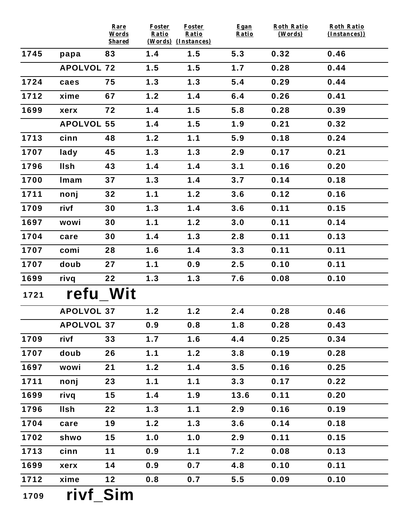|      |                   | Rare<br>Words | <b>Foster</b><br>Ratio | <b>Foster</b><br>Ratio | Egan<br>Ratio | <b>Roth Ratio</b><br>(Words) | <b>Roth Ratio</b><br>(Instances)) |
|------|-------------------|---------------|------------------------|------------------------|---------------|------------------------------|-----------------------------------|
|      |                   | <b>Shared</b> |                        | (Words) (Instances)    |               |                              |                                   |
| 1745 | papa              | 83            | 1.4                    | 1.5                    | 5.3           | 0.32                         | 0.46                              |
|      | <b>APOLVOL 72</b> |               | 1.5                    | 1.5                    | 1.7           | 0.28                         | 0.44                              |
| 1724 | caes              | 75            | 1.3                    | 1.3                    | 5.4           | 0.29                         | 0.44                              |
| 1712 | xime              | 67            | 1.2                    | 1.4                    | 6.4           | 0.26                         | 0.41                              |
| 1699 | xerx              | 72            | 1.4                    | 1.5                    | 5.8           | 0.28                         | 0.39                              |
|      | <b>APOLVOL 55</b> |               | 1.4                    | 1.5                    | 1.9           | 0.21                         | 0.32                              |
| 1713 | cinn              | 48            | 1.2                    | 1.1                    | 5.9           | 0.18                         | 0.24                              |
| 1707 | lady              | 45            | 1.3                    | 1.3                    | 2.9           | 0.17                         | 0.21                              |
| 1796 | <b>Ilsh</b>       | 43            | 1.4                    | 1.4                    | 3.1           | 0.16                         | 0.20                              |
| 1700 | Imam              | 37            | 1.3                    | 1.4                    | 3.7           | 0.14                         | 0.18                              |
| 1711 | nonj              | 32            | 1.1                    | 1.2                    | 3.6           | 0.12                         | 0.16                              |
| 1709 | rivf              | 30            | 1.3                    | 1.4                    | 3.6           | 0.11                         | 0.15                              |
| 1697 | wowi              | 30            | 1.1                    | 1.2                    | 3.0           | 0.11                         | 0.14                              |
| 1704 | care              | 30            | 1.4                    | 1.3                    | 2.8           | 0.11                         | 0.13                              |
| 1707 | comi              | 28            | 1.6                    | 1.4                    | 3.3           | 0.11                         | 0.11                              |
| 1707 | doub              | 27            | 1.1                    | 0.9                    | 2.5           | 0.10                         | 0.11                              |
| 1699 | rivq              | 22            | 1.3                    | 1.3                    | 7.6           | 0.08                         | 0.10                              |
| 1721 | refu Wit          |               |                        |                        |               |                              |                                   |
|      | <b>APOLVOL 37</b> |               | 1.2                    | 1.2                    | 2.4           | 0.28                         | 0.46                              |
|      | <b>APOLVOL 37</b> |               | 0.9                    | 0.8                    | 1.8           | 0.28                         | 0.43                              |
| 1709 | rivf              | 33            | 1.7                    | 1.6                    | 4.4           | 0.25                         | 0.34                              |
| 1707 | doub              | 26            | 1.1                    | 1.2                    | 3.8           | 0.19                         | 0.28                              |
| 1697 | wowi              | 21            | 1.2                    | 1.4                    | 3.5           | 0.16                         | 0.25                              |
| 1711 | nonj              | 23            | 1.1                    | 1.1                    | 3.3           | 0.17                         | 0.22                              |
| 1699 | rivq              | 15            | 1.4                    | 1.9                    | 13.6          | 0.11                         | 0.20                              |
| 1796 | <b>Ilsh</b>       | 22            | 1.3                    | 1.1                    | 2.9           | 0.16                         | 0.19                              |
| 1704 | care              | 19            | 1.2                    | 1.3                    | 3.6           | 0.14                         | 0.18                              |
| 1702 | shwo              | 15            | 1.0                    | 1.0                    | 2.9           | 0.11                         | 0.15                              |
| 1713 | cinn              | 11            | 0.9                    | 1.1                    | 7.2           | 0.08                         | 0.13                              |
| 1699 | xerx              | 14            | 0.9                    | 0.7                    | 4.8           | 0.10                         | 0.11                              |
| 1712 | xime              | 12            | 0.8                    | 0.7                    | 5.5           | 0.09                         | 0.10                              |
| 1709 | rivf              | <b>Sim</b>    |                        |                        |               |                              |                                   |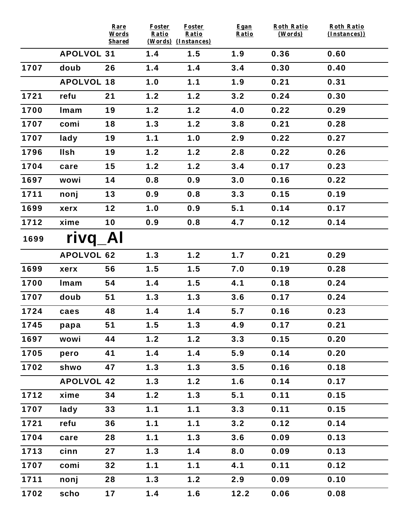|      |                   | Rare<br>Words | <b>Foster</b><br>Ratio | <b>Foster</b><br>Ratio     | Egan<br>Ratio | <b>Roth Ratio</b><br>(Words) | <b>Roth Ratio</b><br>(Instances)) |
|------|-------------------|---------------|------------------------|----------------------------|---------------|------------------------------|-----------------------------------|
|      | <b>APOLVOL 31</b> | <b>Shared</b> | 1.4                    | (Words) (Instances)<br>1.5 | 1.9           | 0.36                         | 0.60                              |
| 1707 | doub              | 26            | 1.4                    | 1.4                        | 3.4           | 0.30                         | 0.40                              |
|      | <b>APOLVOL 18</b> |               | 1.0                    | 1.1                        | 1.9           | 0.21                         | 0.31                              |
| 1721 | refu              | 21            | 1.2                    | 1.2                        | 3.2           | 0.24                         | 0.30                              |
| 1700 | Imam              | 19            | 1.2                    | 1.2                        | 4.0           | 0.22                         | 0.29                              |
| 1707 | comi              | 18            | 1.3                    | 1.2                        | 3.8           | 0.21                         | 0.28                              |
| 1707 | lady              | 19            | 1.1                    | 1.0                        | 2.9           | 0.22                         | 0.27                              |
| 1796 | llsh              | 19            | 1.2                    | 1.2                        | 2.8           | 0.22                         | 0.26                              |
| 1704 |                   | 15            | 1.2                    | 1.2                        | 3.4           | 0.17                         | 0.23                              |
|      | care              |               |                        | 0.9                        |               |                              |                                   |
| 1697 | wowi              | 14            | 0.8                    |                            | 3.0           | 0.16                         | 0.22                              |
| 1711 | nonj              | 13            | 0.9                    | 0.8                        | 3.3           | 0.15                         | 0.19                              |
| 1699 | xerx              | 12            | 1.0                    | 0.9                        | 5.1           | 0.14                         | 0.17                              |
| 1712 | xime              | 10            | 0.9                    | 0.8                        | 4.7           | 0.12                         | 0.14                              |
| 1699 | rivq              | Al            |                        |                            |               |                              |                                   |
|      | <b>APOLVOL 62</b> |               | 1.3                    | 1.2                        | 1.7           | 0.21                         | 0.29                              |
| 1699 | xerx              | 56            | 1.5                    | 1.5                        | 7.0           | 0.19                         | 0.28                              |
| 1700 | Imam              | 54            | 1.4                    | 1.5                        | 4.1           | 0.18                         | 0.24                              |
| 1707 | doub              | 51            | 1.3                    | 1.3                        | 3.6           | 0.17                         | 0.24                              |
| 1724 | caes              | 48            | 1.4                    | 1.4                        | 5.7           | 0.16                         | 0.23                              |
| 1745 | papa              | 51            | 1.5                    | 1.3                        | 4.9           | 0.17                         | 0.21                              |
| 1697 | wowi              | 44            | 1.2                    | $1.2$                      | 3.3           | 0.15                         | 0.20                              |
| 1705 | pero              | 41            | 1.4                    | 1.4                        | 5.9           | 0.14                         | 0.20                              |
| 1702 | shwo              | 47            | 1.3                    | 1.3                        | 3.5           | 0.16                         | 0.18                              |
|      | <b>APOLVOL 42</b> |               | 1.3                    | 1.2                        | 1.6           | 0.14                         | 0.17                              |
| 1712 | xime              | 34            | 1.2                    | 1.3                        | 5.1           | 0.11                         | 0.15                              |
| 1707 | lady              | 33            | 1.1                    | 1.1                        | 3.3           | 0.11                         | 0.15                              |
| 1721 | refu              | 36            | 1.1                    | 1.1                        | 3.2           | 0.12                         | 0.14                              |
| 1704 | care              | 28            | 1.1                    | 1.3                        | 3.6           | 0.09                         | 0.13                              |
| 1713 | cinn              | 27            | 1.3                    | 1.4                        | 8.0           | 0.09                         | 0.13                              |
| 1707 | comi              | 32            | 1.1                    | 1.1                        | 4.1           | 0.11                         | 0.12                              |
| 1711 | nonj              | 28            | 1.3                    | 1.2                        | 2.9           | 0.09                         | 0.10                              |
| 1702 | scho              | 17            | 1.4                    | 1.6                        | 12.2          | 0.06                         | 0.08                              |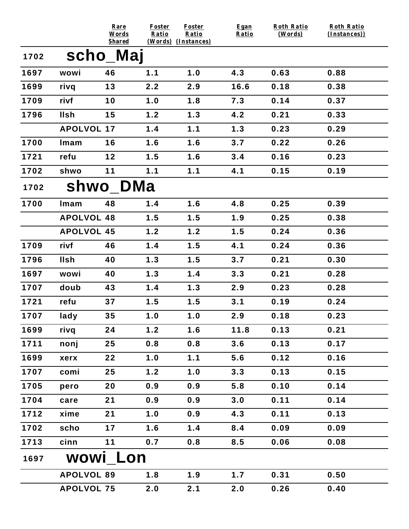|      |                   | Rare<br>Words             | <b>Foster</b><br>Ratio | <b>Foster</b><br>Ratio | Egan<br>Ratio | <b>Roth Ratio</b><br>(Words) | <b>Roth Ratio</b><br>(Instances)) |
|------|-------------------|---------------------------|------------------------|------------------------|---------------|------------------------------|-----------------------------------|
| 1702 |                   | <b>Shared</b><br>scho_Maj | (Words) (Instances)    |                        |               |                              |                                   |
| 1697 | wowi              | 46                        | 1.1                    | 1.0                    | 4.3           | 0.63                         | 0.88                              |
| 1699 | rivq              | 13                        | 2.2                    | 2.9                    | 16.6          | 0.18                         | 0.38                              |
| 1709 | rivf              | 10                        | 1.0                    | 1.8                    | 7.3           | 0.14                         | 0.37                              |
| 1796 | <b>Ilsh</b>       | 15                        | 1.2                    | 1.3                    | 4.2           | 0.21                         | 0.33                              |
|      | <b>APOLVOL 17</b> |                           | 1.4                    | 1.1                    | 1.3           | 0.23                         | 0.29                              |
| 1700 | Imam              | 16                        | 1.6                    | 1.6                    | 3.7           | 0.22                         | 0.26                              |
| 1721 | refu              | 12                        | 1.5                    | 1.6                    | 3.4           | 0.16                         | 0.23                              |
| 1702 | shwo              | 11                        | 1.1                    | 1.1                    | 4.1           | 0.15                         | 0.19                              |
| 1702 |                   | shwo_DMa                  |                        |                        |               |                              |                                   |
| 1700 | Imam              | 48                        | 1.4                    | 1.6                    | 4.8           | 0.25                         | 0.39                              |
|      | <b>APOLVOL 48</b> |                           | 1.5                    | 1.5                    | 1.9           | 0.25                         | 0.38                              |
|      | <b>APOLVOL 45</b> |                           | 1.2                    | 1.2                    | 1.5           | 0.24                         | 0.36                              |
| 1709 | rivf              | 46                        | 1.4                    | 1.5                    | 4.1           | 0.24                         | 0.36                              |
| 1796 | <b>Ilsh</b>       | 40                        | 1.3                    | 1.5                    | 3.7           | 0.21                         | 0.30                              |
| 1697 | wowi              | 40                        | 1.3                    | 1.4                    | 3.3           | 0.21                         | 0.28                              |
| 1707 | doub              | 43                        | 1.4                    | 1.3                    | 2.9           | 0.23                         | 0.28                              |
| 1721 | refu              | 37                        | 1.5                    | 1.5                    | 3.1           | 0.19                         | 0.24                              |
| 1707 | lady              | 35                        | 1.0                    | 1.0                    | 2.9           | 0.18                         | 0.23                              |
| 1699 | rivq              | 24                        | 1.2                    | 1.6                    | 11.8          | 0.13                         | 0.21                              |
| 1711 | nonj              | 25                        | 0.8                    | 0.8                    | 3.6           | 0.13                         | 0.17                              |
| 1699 | xerx              | 22                        | 1.0                    | 1.1                    | 5.6           | 0.12                         | 0.16                              |
| 1707 | comi              | 25                        | 1.2                    | 1.0                    | 3.3           | 0.13                         | 0.15                              |
| 1705 | pero              | 20                        | 0.9                    | 0.9                    | 5.8           | 0.10                         | 0.14                              |
| 1704 | care              | 21                        | 0.9                    | 0.9                    | 3.0           | 0.11                         | 0.14                              |
| 1712 | xime              | 21                        | 1.0                    | 0.9                    | 4.3           | 0.11                         | 0.13                              |
| 1702 | scho              | 17                        | 1.6                    | 1.4                    | 8.4           | 0.09                         | 0.09                              |
| 1713 | cinn              | 11                        | 0.7                    | 0.8                    | 8.5           | 0.06                         | 0.08                              |
| 1697 |                   | wowi Lon                  |                        |                        |               |                              |                                   |
|      | <b>APOLVOL 89</b> |                           | 1.8                    | 1.9                    | 1.7           | 0.31                         | 0.50                              |
|      | <b>APOLVOL 75</b> |                           | 2.0                    | 2.1                    | 2.0           | 0.26                         | 0.40                              |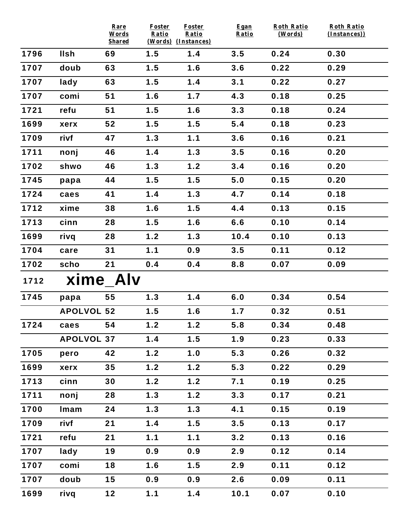|      |                   | Rare<br>Words<br><b>Shared</b> | Foster<br>Ratio | <b>Foster</b><br>Ratio<br>(Words) (Instances) | Egan<br>Ratio | <b>Roth Ratio</b><br>(Words) | <b>Roth Ratio</b><br>(Instances)) |
|------|-------------------|--------------------------------|-----------------|-----------------------------------------------|---------------|------------------------------|-----------------------------------|
| 1796 | <b>Ilsh</b>       | 69                             | 1.5             | 1.4                                           | 3.5           | 0.24                         | 0.30                              |
| 1707 | doub              | 63                             | 1.5             | 1.6                                           | 3.6           | 0.22                         | 0.29                              |
| 1707 | lady              | 63                             | 1.5             | 1.4                                           | 3.1           | 0.22                         | 0.27                              |
| 1707 | comi              | 51                             | 1.6             | 1.7                                           | 4.3           | 0.18                         | 0.25                              |
| 1721 | refu              | 51                             | 1.5             | 1.6                                           | 3.3           | 0.18                         | 0.24                              |
| 1699 | xerx              | 52                             | 1.5             | 1.5                                           | 5.4           | 0.18                         | 0.23                              |
| 1709 | rivf              | 47                             | 1.3             | 1.1                                           | 3.6           | 0.16                         | 0.21                              |
| 1711 | nonj              | 46                             | 1.4             | 1.3                                           | 3.5           | 0.16                         | 0.20                              |
| 1702 | shwo              | 46                             | 1.3             | 1.2                                           | 3.4           | 0.16                         | 0.20                              |
| 1745 | papa              | 44                             | 1.5             | 1.5                                           | 5.0           | 0.15                         | 0.20                              |
| 1724 | caes              | 41                             | 1.4             | 1.3                                           | 4.7           | 0.14                         | 0.18                              |
| 1712 | xime              | 38                             | 1.6             | 1.5                                           | 4.4           | 0.13                         | 0.15                              |
| 1713 | cinn              | 28                             | 1.5             | 1.6                                           | 6.6           | 0.10                         | 0.14                              |
| 1699 | rivq              | 28                             | 1.2             | 1.3                                           | 10.4          | 0.10                         | 0.13                              |
| 1704 | care              | 31                             | 1.1             | 0.9                                           | 3.5           | 0.11                         | 0.12                              |
| 1702 | scho              | 21                             | 0.4             | 0.4                                           | 8.8           | 0.07                         | 0.09                              |
| 1712 |                   | xime_Alv                       |                 |                                               |               |                              |                                   |
| 1745 | papa              | 55                             | 1.3             | 1.4                                           | 6.0           | 0.34                         | 0.54                              |
|      | <b>APOLVOL 52</b> |                                | 1.5             | 1.6                                           | 1.7           | 0.32                         | 0.51                              |
| 1724 | caes              | 54                             | 1.2             | 1.2                                           | 5.8           | 0.34                         | 0.48                              |
|      | <b>APOLVOL 37</b> |                                | 1.4             | 1.5                                           | 1.9           | 0.23                         | 0.33                              |
| 1705 | pero              | 42                             | 1.2             | 1.0                                           | 5.3           | 0.26                         | 0.32                              |
| 1699 | xerx              | 35                             | 1.2             | 1.2                                           | 5.3           | 0.22                         | 0.29                              |
| 1713 | cinn              | 30                             | 1.2             | 1.2                                           | 7.1           | 0.19                         | 0.25                              |
| 1711 | nonj              | 28                             | 1.3             | 1.2                                           | 3.3           | 0.17                         | 0.21                              |
| 1700 | Imam              | 24                             | 1.3             | 1.3                                           | 4.1           | 0.15                         | 0.19                              |
| 1709 | rivf              | 21                             | 1.4             | 1.5                                           | 3.5           | 0.13                         | 0.17                              |
| 1721 | refu              | 21                             | 1.1             | 1.1                                           | 3.2           | 0.13                         | 0.16                              |
| 1707 | lady              | 19                             | 0.9             | 0.9                                           | 2.9           | 0.12                         | 0.14                              |
| 1707 | comi              | 18                             | 1.6             | 1.5                                           | 2.9           | 0.11                         | 0.12                              |
| 1707 | doub              | 15                             | 0.9             | 0.9                                           | 2.6           | 0.09                         | 0.11                              |
| 1699 | rivq              | $12$                           | 1.1             | 1.4                                           | 10.1          | 0.07                         | 0.10                              |